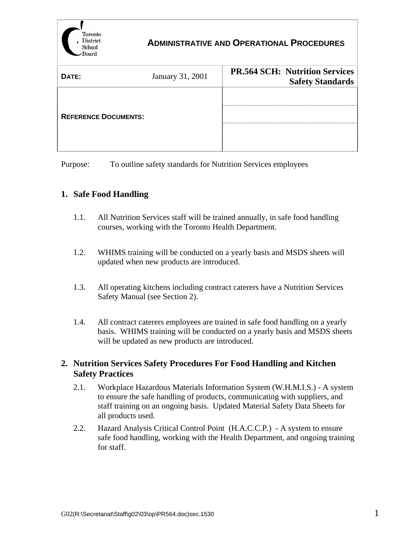

## **ADMINISTRATIVE AND OPERATIONAL PROCEDURES**

| DATE:                       | January 31, 2001 | <b>PR.564 SCH: Nutrition Services</b><br><b>Safety Standards</b> |
|-----------------------------|------------------|------------------------------------------------------------------|
|                             |                  |                                                                  |
| <b>REFERENCE DOCUMENTS:</b> |                  |                                                                  |
|                             |                  |                                                                  |

Purpose: To outline safety standards for Nutrition Services employees

## **1. Safe Food Handling**

- 1.1. All Nutrition Services staff will be trained annually, in safe food handling courses, working with the Toronto Health Department.
- 1.2. WHIMS training will be conducted on a yearly basis and MSDS sheets will updated when new products are introduced.
- 1.3. All operating kitchens including contract caterers have a Nutrition Services Safety Manual (see Section 2).
- 1.4. All contract caterers employees are trained in safe food handling on a yearly basis. WHIMS training will be conducted on a yearly basis and MSDS sheets will be updated as new products are introduced.

## **2. Nutrition Services Safety Procedures For Food Handling and Kitchen Safety Practices**

- 2.1. Workplace Hazardous Materials Information System (W.H.M.I.S.) A system to ensure the safe handling of products, communicating with suppliers, and staff training on an ongoing basis. Updated Material Safety Data Sheets for all products used.
- 2.2. Hazard Analysis Critical Control Point (H.A.C.C.P.) A system to ensure safe food handling, working with the Health Department, and ongoing training for staff.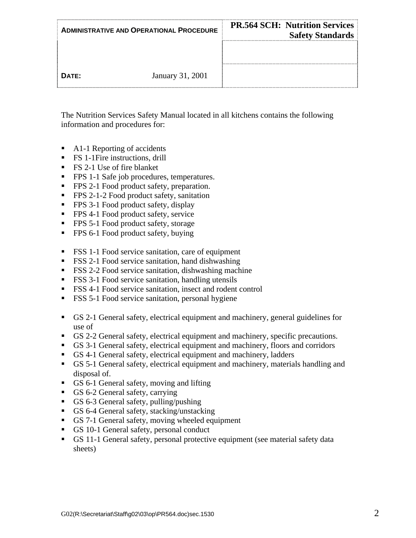| <b>ADMINISTRATIVE AND OPERATIONAL PROCEDURE</b> |                  | <b>PR.564 SCH: Nutrition Services</b><br><b>Safety Standards</b> |
|-------------------------------------------------|------------------|------------------------------------------------------------------|
|                                                 |                  |                                                                  |
| DATE:                                           | January 31, 2001 |                                                                  |

The Nutrition Services Safety Manual located in all kitchens contains the following information and procedures for:

- A1-1 Reporting of accidents
- **FS** 1-1 Fire instructions, drill
- FS 2-1 Use of fire blanket
- **FPS 1-1 Safe job procedures, temperatures.**
- **FPS** 2-1 Food product safety, preparation.
- **FPS** 2-1-2 Food product safety, sanitation
- **FPS** 3-1 Food product safety, display
- **FPS** 4-1 Food product safety, service
- **FPS 5-1 Food product safety, storage**
- **FPS 6-1 Food product safety, buying**
- **FSS** 1-1 Food service sanitation, care of equipment
- FSS 2-1 Food service sanitation, hand dishwashing
- FSS 2-2 Food service sanitation, dishwashing machine
- **FSS** 3-1 Food service sanitation, handling utensils
- FSS 4-1 Food service sanitation, insect and rodent control
- **FSS 5-1 Food service sanitation, personal hygiene**
- GS 2-1 General safety, electrical equipment and machinery, general guidelines for use of
- GS 2-2 General safety, electrical equipment and machinery, specific precautions.
- GS 3-1 General safety, electrical equipment and machinery, floors and corridors
- GS 4-1 General safety, electrical equipment and machinery, ladders
- GS 5-1 General safety, electrical equipment and machinery, materials handling and disposal of.
- GS 6-1 General safety, moving and lifting
- GS 6-2 General safety, carrying
- GS 6-3 General safety, pulling/pushing
- GS 6-4 General safety, stacking/unstacking
- GS 7-1 General safety, moving wheeled equipment
- GS 10-1 General safety, personal conduct
- GS 11-1 General safety, personal protective equipment (see material safety data sheets)